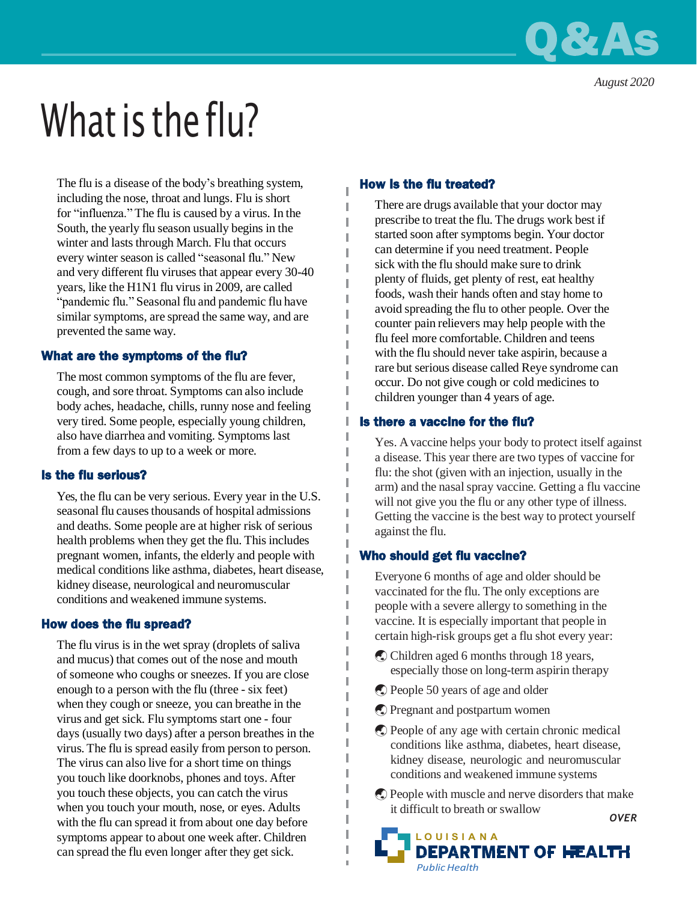

*August 2020*

# What is the flu?

The flu is a disease of the body's breathing system, including the nose, throat and lungs. Flu is short for "influenza." The flu is caused by a virus. In the South, the yearly flu season usually begins in the winter and lasts through March. Flu that occurs every winter season is called "seasonal flu." New and very different flu viruses that appear every 30-40 years, like the H1N1 flu virus in 2009, are called "pandemic flu." Seasonal flu and pandemic flu have similar symptoms, are spread the same way, and are prevented the same way.

## What are the symptoms of the flu?

The most common symptoms of the flu are fever, cough, and sore throat. Symptoms can also include body aches, headache, chills, runny nose and feeling very tired. Some people, especially young children, also have diarrhea and vomiting. Symptoms last from a few days to up to a week or more.

## Is the flu serious?

Yes, the flu can be very serious. Every year in the U.S. seasonal flu causes thousands of hospital admissions and deaths. Some people are at higher risk of serious health problems when they get the flu. This includes pregnant women, infants, the elderly and people with medical conditions like asthma, diabetes, heart disease, kidney disease, neurological and neuromuscular conditions and weakened immune systems.

## How does the flu spread?

The flu virus is in the wet spray (droplets of saliva and mucus) that comes out of the nose and mouth of someone who coughs or sneezes. If you are close enough to a person with the flu (three - six feet) when they cough or sneeze, you can breathe in the virus and get sick. Flu symptoms start one - four days (usually two days) after a person breathes in the virus. The flu is spread easily from person to person. The virus can also live for a short time on things you touch like doorknobs, phones and toys. After you touch these objects, you can catch the virus when you touch your mouth, nose, or eyes. Adults with the flu can spread it from about one day before symptoms appear to about one week after. Children can spread the flu even longer after they get sick.

### How is the flu treated?

I

I

I

I I There are drugs available that your doctor may prescribe to treat the flu. The drugs work best if started soon after symptoms begin. Your doctor can determine if you need treatment. People sick with the flu should make sure to drink plenty of fluids, get plenty of rest, eat healthy foods, wash their hands often and stay home to avoid spreading the flu to other people. Over the counter pain relievers may help people with the flu feel more comfortable. Children and teens with the flu should never take aspirin, because a rare but serious disease called Reye syndrome can occur. Do not give cough or cold medicines to children younger than 4 years of age.

## Is there a vaccine for the flu?

Yes. A vaccine helps your body to protect itself against a disease. This year there are two types of vaccine for flu: the shot (given with an injection, usually in the arm) and the nasalspray vaccine. Getting a flu vaccine will not give you the flu or any other type of illness. Getting the vaccine is the best way to protect yourself against the flu.

#### Who should get flu vaccine?

Everyone 6 months of age and older should be vaccinated for the flu. The only exceptions are people with a severe allergy to something in the vaccine. It is especially important that people in certain high-risk groups get a flu shot every year:

- Children aged 6 months through 18 years, especially those on long-term aspirin therapy
- People 50 years of age and older
- Pregnant and postpartum women
- People of any age with certain chronic medical conditions like asthma, diabetes, heart disease, kidney disease, neurologic and neuromuscular conditions and weakened immune systems
- People with muscle and nerve disorders that make it difficult to breath or swallow *OVER*